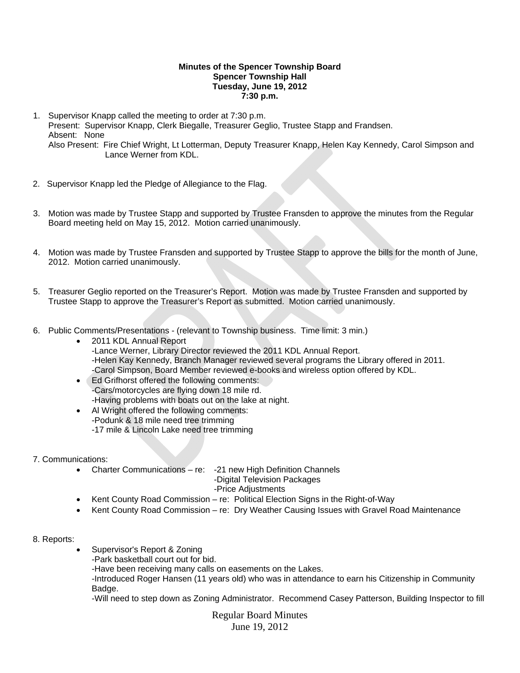## **Minutes of the Spencer Township Board Spencer Township Hall Tuesday, June 19, 2012 7:30 p.m.**

- 1. Supervisor Knapp called the meeting to order at 7:30 p.m. Present: Supervisor Knapp, Clerk Biegalle, Treasurer Geglio, Trustee Stapp and Frandsen. Absent: None Also Present: Fire Chief Wright, Lt Lotterman, Deputy Treasurer Knapp, Helen Kay Kennedy, Carol Simpson and Lance Werner from KDL.
- 2. Supervisor Knapp led the Pledge of Allegiance to the Flag.
- 3. Motion was made by Trustee Stapp and supported by Trustee Fransden to approve the minutes from the Regular Board meeting held on May 15, 2012. Motion carried unanimously.
- 4. Motion was made by Trustee Fransden and supported by Trustee Stapp to approve the bills for the month of June, 2012. Motion carried unanimously.
- 5. Treasurer Geglio reported on the Treasurer's Report. Motion was made by Trustee Fransden and supported by Trustee Stapp to approve the Treasurer's Report as submitted. Motion carried unanimously.
- 6. Public Comments/Presentations (relevant to Township business. Time limit: 3 min.)
	- 2011 KDL Annual Report -Lance Werner, Library Director reviewed the 2011 KDL Annual Report. -Helen Kay Kennedy, Branch Manager reviewed several programs the Library offered in 2011. -Carol Simpson, Board Member reviewed e-books and wireless option offered by KDL.
	- Ed Grifhorst offered the following comments: -Cars/motorcycles are flying down 18 mile rd. -Having problems with boats out on the lake at night.
	- Al Wright offered the following comments: -Podunk & 18 mile need tree trimming -17 mile & Lincoln Lake need tree trimming
- 7. Communications:
	- Charter Communications re: -21 new High Definition Channels
		- -Digital Television Packages
		- -Price Adjustments
	- Kent County Road Commission re: Political Election Signs in the Right-of-Way
	- Kent County Road Commission re: Dry Weather Causing Issues with Gravel Road Maintenance
- 8. Reports:
- Supervisor's Report & Zoning
	- -Park basketball court out for bid.
	- -Have been receiving many calls on easements on the Lakes.

-Introduced Roger Hansen (11 years old) who was in attendance to earn his Citizenship in Community Badge.

-Will need to step down as Zoning Administrator. Recommend Casey Patterson, Building Inspector to fill

Regular Board Minutes June 19, 2012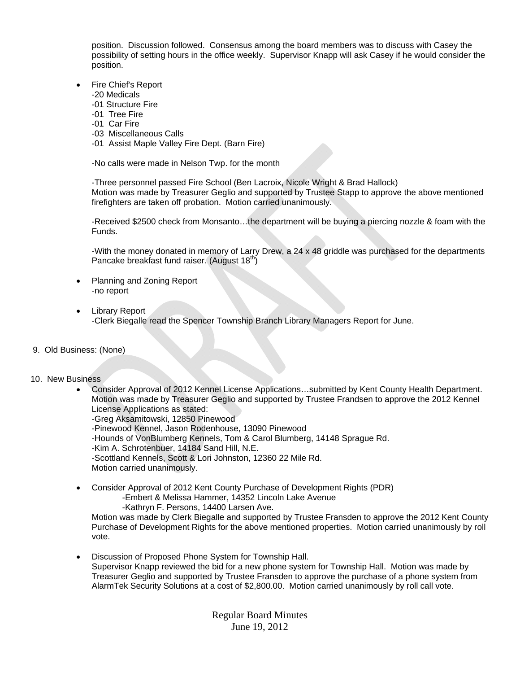position. Discussion followed. Consensus among the board members was to discuss with Casey the possibility of setting hours in the office weekly. Supervisor Knapp will ask Casey if he would consider the position.

- Fire Chief's Report
	- -20 Medicals
	- -01 Structure Fire
	- -01 Tree Fire
	- -01 Car Fire
	- -03 Miscellaneous Calls
	- -01 Assist Maple Valley Fire Dept. (Barn Fire)

-No calls were made in Nelson Twp. for the month

-Three personnel passed Fire School (Ben Lacroix, Nicole Wright & Brad Hallock) Motion was made by Treasurer Geglio and supported by Trustee Stapp to approve the above mentioned firefighters are taken off probation. Motion carried unanimously.

-Received \$2500 check from Monsanto…the department will be buying a piercing nozzle & foam with the Funds.

-With the money donated in memory of Larry Drew, a 24 x 48 griddle was purchased for the departments Pancake breakfast fund raiser. (August  $18<sup>th</sup>$ )

- Planning and Zoning Report -no report
- Library Report -Clerk Biegalle read the Spencer Township Branch Library Managers Report for June.
- 9. Old Business: (None)
- 10. New Business
	- Consider Approval of 2012 Kennel License Applications…submitted by Kent County Health Department. Motion was made by Treasurer Geglio and supported by Trustee Frandsen to approve the 2012 Kennel License Applications as stated:
		- -Greg Aksamitowski, 12850 Pinewood -Pinewood Kennel, Jason Rodenhouse, 13090 Pinewood
			- -Hounds of VonBlumberg Kennels, Tom & Carol Blumberg, 14148 Sprague Rd.
		- -Kim A. Schrotenbuer, 14184 Sand Hill, N.E.

-Scottland Kennels, Scott & Lori Johnston, 12360 22 Mile Rd.

Motion carried unanimously.

 Consider Approval of 2012 Kent County Purchase of Development Rights (PDR) -Embert & Melissa Hammer, 14352 Lincoln Lake Avenue -Kathryn F. Persons, 14400 Larsen Ave.

 Motion was made by Clerk Biegalle and supported by Trustee Fransden to approve the 2012 Kent County Purchase of Development Rights for the above mentioned properties. Motion carried unanimously by roll vote.

 Discussion of Proposed Phone System for Township Hall. Supervisor Knapp reviewed the bid for a new phone system for Township Hall. Motion was made by Treasurer Geglio and supported by Trustee Fransden to approve the purchase of a phone system from AlarmTek Security Solutions at a cost of \$2,800.00. Motion carried unanimously by roll call vote.

> Regular Board Minutes June 19, 2012